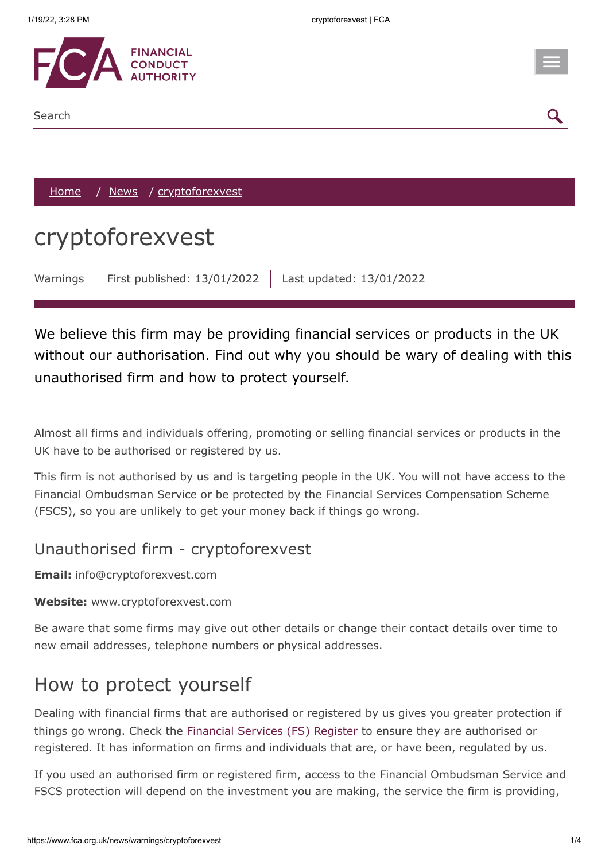

#### Search

[Home](https://www.fca.org.uk/) / [News](https://www.fca.org.uk/news) / cryptoforexvest

# cryptoforexvest

Warnings | First published: 13/01/2022 | Last updated: 13/01/2022

We believe this firm may be providing financial services or products in the UK without our authorisation. Find out why you should be wary of dealing with this unauthorised firm and how to protect yourself.

Almost all firms and individuals offering, promoting or selling financial services or products in the UK have to be authorised or registered by us.

This firm is not authorised by us and is targeting people in the UK. You will not have access to the Financial Ombudsman Service or be protected by the Financial Services Compensation Scheme (FSCS), so you are unlikely to get your money back if things go wrong.

### Unauthorised firm - cryptoforexvest

**Email:** info@cryptoforexvest.com

#### **Website:** www.cryptoforexvest.com

Be aware that some firms may give out other details or change their contact details over time to new email addresses, telephone numbers or physical addresses.

### How to protect yourself

Dealing with financial firms that are authorised or registered by us gives you greater protection if things go wrong. Check the *[Financial Services \(FS\) Register](https://register.fca.org.uk/)* to ensure they are authorised or registered. It has information on firms and individuals that are, or have been, regulated by us.

If you used an authorised firm or registered firm, access to the Financial Ombudsman Service and FSCS protection will depend on the investment you are making, the service the firm is providing,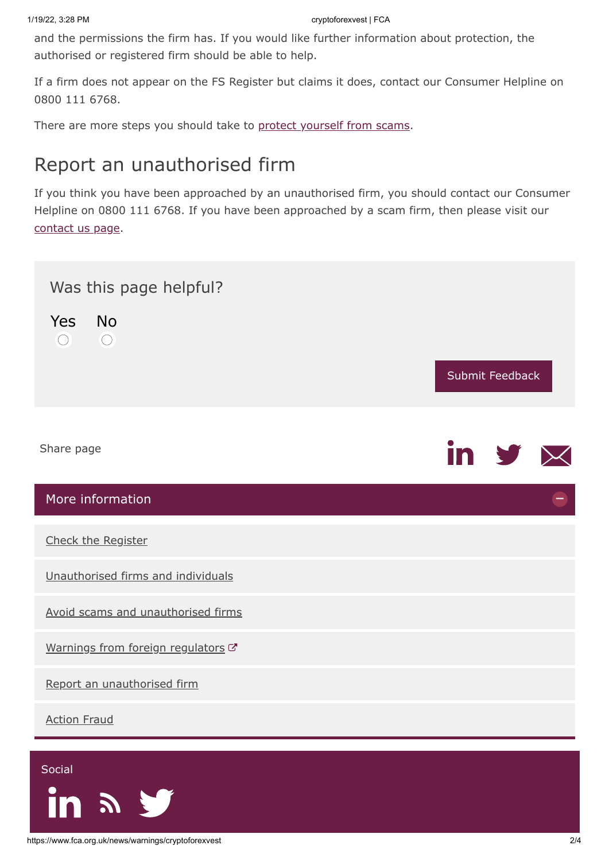and the permissions the firm has. If you would like further information about protection, the authorised or registered firm should be able to help.

If a firm does not appear on the FS Register but claims it does, contact our Consumer Helpline on 0800 111 6768.

There are more steps you should take to [protect yourself from scams](https://www.fca.org.uk/consumers/avoid-scams-unauthorised-firms).

## Report an unauthorised firm

If you think you have been approached by an unauthorised firm, you should contact our Consumer Helpline on 0800 111 6768. If you have been approached by a scam firm, then please visit our [contact us page.](https://www.fca.org.uk/contact)



<span id="page-1-0"></span> $\boldsymbol{\mathcal{S}}$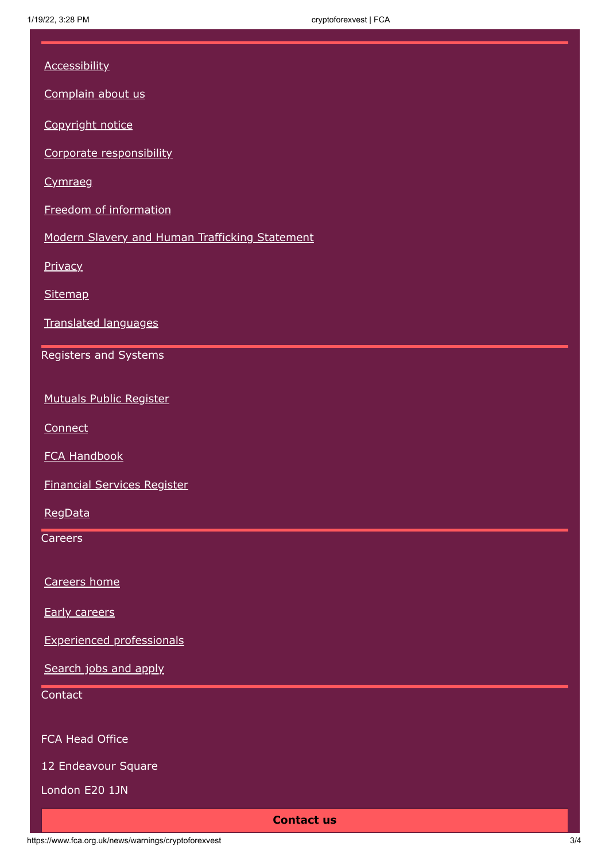| <b>Accessibility</b><br>Complain about us<br>Copyright notice<br>Corporate responsibility<br>Cymraeg<br>Freedom of information<br>Modern Slavery and Human Trafficking Statement<br>Privacy<br>Sitemap<br>Translated languages<br>Registers and Systems<br><b>Mutuals Public Register</b><br>Connect<br><b>FCA Handbook</b><br><b>Financial Services Register</b><br>RegData<br>Careers<br>Careers home<br><b>Early careers</b><br><b>Experienced professionals</b><br>Search jobs and apply<br>Contact<br>FCA Head Office<br>12 Endeavour Square<br>London E20 1JN<br><b>Contact us</b> |  |
|------------------------------------------------------------------------------------------------------------------------------------------------------------------------------------------------------------------------------------------------------------------------------------------------------------------------------------------------------------------------------------------------------------------------------------------------------------------------------------------------------------------------------------------------------------------------------------------|--|
|                                                                                                                                                                                                                                                                                                                                                                                                                                                                                                                                                                                          |  |
|                                                                                                                                                                                                                                                                                                                                                                                                                                                                                                                                                                                          |  |
|                                                                                                                                                                                                                                                                                                                                                                                                                                                                                                                                                                                          |  |
|                                                                                                                                                                                                                                                                                                                                                                                                                                                                                                                                                                                          |  |
|                                                                                                                                                                                                                                                                                                                                                                                                                                                                                                                                                                                          |  |
|                                                                                                                                                                                                                                                                                                                                                                                                                                                                                                                                                                                          |  |
|                                                                                                                                                                                                                                                                                                                                                                                                                                                                                                                                                                                          |  |
|                                                                                                                                                                                                                                                                                                                                                                                                                                                                                                                                                                                          |  |
|                                                                                                                                                                                                                                                                                                                                                                                                                                                                                                                                                                                          |  |
|                                                                                                                                                                                                                                                                                                                                                                                                                                                                                                                                                                                          |  |
|                                                                                                                                                                                                                                                                                                                                                                                                                                                                                                                                                                                          |  |
|                                                                                                                                                                                                                                                                                                                                                                                                                                                                                                                                                                                          |  |
|                                                                                                                                                                                                                                                                                                                                                                                                                                                                                                                                                                                          |  |
|                                                                                                                                                                                                                                                                                                                                                                                                                                                                                                                                                                                          |  |
|                                                                                                                                                                                                                                                                                                                                                                                                                                                                                                                                                                                          |  |
|                                                                                                                                                                                                                                                                                                                                                                                                                                                                                                                                                                                          |  |
|                                                                                                                                                                                                                                                                                                                                                                                                                                                                                                                                                                                          |  |
|                                                                                                                                                                                                                                                                                                                                                                                                                                                                                                                                                                                          |  |
|                                                                                                                                                                                                                                                                                                                                                                                                                                                                                                                                                                                          |  |
|                                                                                                                                                                                                                                                                                                                                                                                                                                                                                                                                                                                          |  |
|                                                                                                                                                                                                                                                                                                                                                                                                                                                                                                                                                                                          |  |
|                                                                                                                                                                                                                                                                                                                                                                                                                                                                                                                                                                                          |  |
|                                                                                                                                                                                                                                                                                                                                                                                                                                                                                                                                                                                          |  |
|                                                                                                                                                                                                                                                                                                                                                                                                                                                                                                                                                                                          |  |
|                                                                                                                                                                                                                                                                                                                                                                                                                                                                                                                                                                                          |  |
|                                                                                                                                                                                                                                                                                                                                                                                                                                                                                                                                                                                          |  |
|                                                                                                                                                                                                                                                                                                                                                                                                                                                                                                                                                                                          |  |